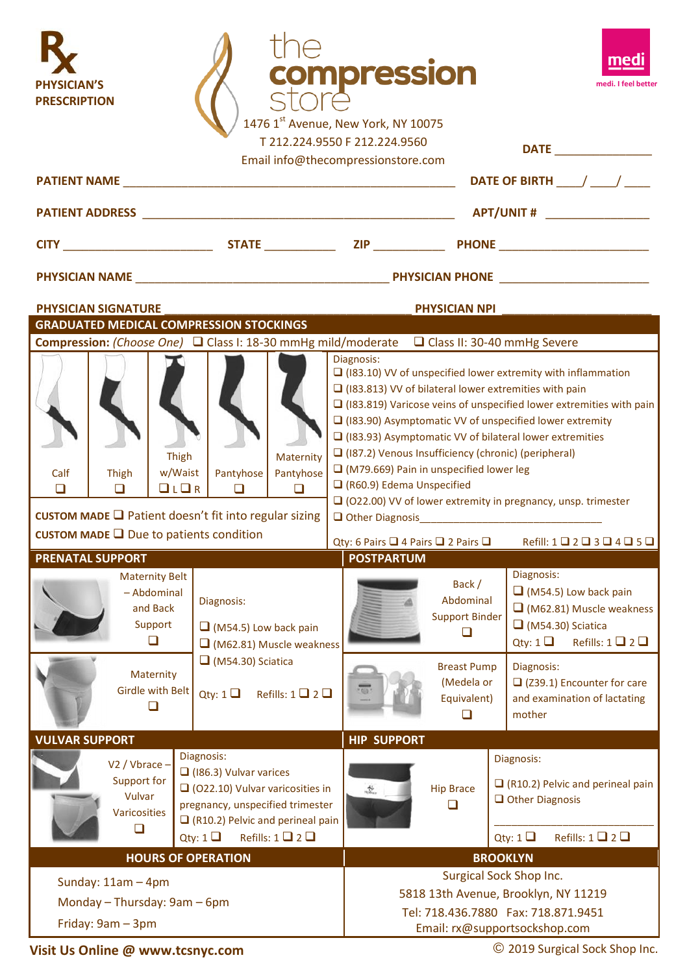| <b>SICIAN'S</b><br><b>PRESCRIPTION</b>                                                                                                                                                                                                                                                    |                                              |                                                                                                                                                                                                                            |                                                                               |                       | <b>ompression</b><br>1476 1st Avenue, New York, NY 10075<br>T 212.224.9550 F 212.224.9560<br>Email info@thecompressionstore.com                                                                                                                                                                                                                                                                                                                                                                                                                                                                                                                                                                                                                                         |                                                                                                                                          |                                                                   | medi. I feel bette<br>DATE                                                         |  |
|-------------------------------------------------------------------------------------------------------------------------------------------------------------------------------------------------------------------------------------------------------------------------------------------|----------------------------------------------|----------------------------------------------------------------------------------------------------------------------------------------------------------------------------------------------------------------------------|-------------------------------------------------------------------------------|-----------------------|-------------------------------------------------------------------------------------------------------------------------------------------------------------------------------------------------------------------------------------------------------------------------------------------------------------------------------------------------------------------------------------------------------------------------------------------------------------------------------------------------------------------------------------------------------------------------------------------------------------------------------------------------------------------------------------------------------------------------------------------------------------------------|------------------------------------------------------------------------------------------------------------------------------------------|-------------------------------------------------------------------|------------------------------------------------------------------------------------|--|
| <b>PATIENT NAME</b>                                                                                                                                                                                                                                                                       |                                              |                                                                                                                                                                                                                            |                                                                               |                       |                                                                                                                                                                                                                                                                                                                                                                                                                                                                                                                                                                                                                                                                                                                                                                         |                                                                                                                                          | DATE OF BIRTH $\frac{1}{2}$                                       |                                                                                    |  |
|                                                                                                                                                                                                                                                                                           |                                              |                                                                                                                                                                                                                            |                                                                               |                       |                                                                                                                                                                                                                                                                                                                                                                                                                                                                                                                                                                                                                                                                                                                                                                         |                                                                                                                                          |                                                                   |                                                                                    |  |
|                                                                                                                                                                                                                                                                                           |                                              |                                                                                                                                                                                                                            |                                                                               |                       |                                                                                                                                                                                                                                                                                                                                                                                                                                                                                                                                                                                                                                                                                                                                                                         |                                                                                                                                          |                                                                   |                                                                                    |  |
|                                                                                                                                                                                                                                                                                           |                                              |                                                                                                                                                                                                                            |                                                                               |                       |                                                                                                                                                                                                                                                                                                                                                                                                                                                                                                                                                                                                                                                                                                                                                                         |                                                                                                                                          |                                                                   |                                                                                    |  |
| <b>PHYSICIAN SIGNATURE</b>                                                                                                                                                                                                                                                                |                                              |                                                                                                                                                                                                                            |                                                                               |                       |                                                                                                                                                                                                                                                                                                                                                                                                                                                                                                                                                                                                                                                                                                                                                                         | <b>PHYSICIAN NPI</b>                                                                                                                     |                                                                   |                                                                                    |  |
| <b>GRADUATED MEDICAL COMPRESSION STOCKINGS</b><br>Compression: (Choose One) □ Class I: 18-30 mmHg mild/moderate □ Class II: 30-40 mmHg Severe                                                                                                                                             |                                              |                                                                                                                                                                                                                            |                                                                               |                       |                                                                                                                                                                                                                                                                                                                                                                                                                                                                                                                                                                                                                                                                                                                                                                         |                                                                                                                                          |                                                                   |                                                                                    |  |
| Calf<br>□                                                                                                                                                                                                                                                                                 | <b>Thigh</b><br>◻<br><b>PRENATAL SUPPORT</b> | Maternity<br>Thigh<br>Pantyhose<br>w/Waist<br>Pantyhose<br>L/LR<br>□<br>□<br>CUSTOM MADE □ Patient doesn't fit into regular sizing<br>CUSTOM MADE $\Box$ Due to patients condition<br><b>Maternity Belt</b><br>- Abdominal |                                                                               |                       | Diagnosis:<br>$\Box$ (183.10) VV of unspecified lower extremity with inflammation<br>$\Box$ (183.813) VV of bilateral lower extremities with pain<br>$\Box$ (183.819) Varicose veins of unspecified lower extremities with pain<br>$\Box$ (183.90) Asymptomatic VV of unspecified lower extremity<br>$\Box$ (183.93) Asymptomatic VV of bilateral lower extremities<br>$\Box$ (187.2) Venous Insufficiency (chronic) (peripheral)<br>$\Box$ (M79.669) Pain in unspecified lower leg<br>$\Box$ (R60.9) Edema Unspecified<br>$\Box$ (O22.00) VV of lower extremity in pregnancy, unsp. trimester<br>$\Box$ Other Diagnosis<br>Qty: 6 Pairs Q 4 Pairs Q 2 Pairs Q Refill: 1 Q 2 Q 3 Q 4 Q 5 Q<br><b>POSTPARTUM</b><br>Diagnosis:<br>Back /<br>$\Box$ (M54.5) Low back pain |                                                                                                                                          |                                                                   |                                                                                    |  |
| and Back<br>Support<br>$\Box$<br>Maternity<br><b>Girdle with Belt</b><br>□                                                                                                                                                                                                                |                                              |                                                                                                                                                                                                                            | Diagnosis:<br>$\Box$ (M54.5) Low back pain<br>$\Box$ (M62.81) Muscle weakness |                       |                                                                                                                                                                                                                                                                                                                                                                                                                                                                                                                                                                                                                                                                                                                                                                         | Abdominal<br><b>Support Binder</b><br>□                                                                                                  | $\Box$ (M54.30) Sciatica                                          | $\Box$ (M62.81) Muscle weakness<br>Qty: $1 \square$ Refills: $1 \square 2 \square$ |  |
|                                                                                                                                                                                                                                                                                           |                                              | $\Box$ (M54.30) Sciatica<br>Qty: $1 \square$ Refills: $1 \square 2 \square$                                                                                                                                                |                                                                               |                       | <b>Breast Pump</b><br>(Medela or<br>Equivalent)<br>□                                                                                                                                                                                                                                                                                                                                                                                                                                                                                                                                                                                                                                                                                                                    | Diagnosis:<br>mother                                                                                                                     | $\Box$ (Z39.1) Encounter for care<br>and examination of lactating |                                                                                    |  |
| <b>VULVAR SUPPORT</b>                                                                                                                                                                                                                                                                     |                                              |                                                                                                                                                                                                                            |                                                                               |                       | <b>HIP SUPPORT</b>                                                                                                                                                                                                                                                                                                                                                                                                                                                                                                                                                                                                                                                                                                                                                      |                                                                                                                                          |                                                                   |                                                                                    |  |
| Diagnosis:<br>V2 / Vbrace -<br>$\Box$ (186.3) Vulvar varices<br>Support for<br>$\Box$ (022.10) Vulvar varicosities in<br>Vulvar<br>pregnancy, unspecified trimester<br>Varicosities<br>$\Box$ (R10.2) Pelvic and perineal pain<br>□<br>Refills: $1 \square 2 \square$<br>Qty: 1 $\square$ |                                              |                                                                                                                                                                                                                            | 芯                                                                             | <b>Hip Brace</b><br>□ | Diagnosis:<br>$\Box$ (R10.2) Pelvic and perineal pain<br>$\Box$ Other Diagnosis<br>Refills: $1 \square 2 \square$<br>Qty: 1 $\Box$                                                                                                                                                                                                                                                                                                                                                                                                                                                                                                                                                                                                                                      |                                                                                                                                          |                                                                   |                                                                                    |  |
|                                                                                                                                                                                                                                                                                           |                                              |                                                                                                                                                                                                                            | <b>HOURS OF OPERATION</b>                                                     |                       |                                                                                                                                                                                                                                                                                                                                                                                                                                                                                                                                                                                                                                                                                                                                                                         | <b>BROOKLYN</b>                                                                                                                          |                                                                   |                                                                                    |  |
| Sunday: $11am - 4pm$<br>Monday - Thursday: 9am - 6pm<br>Friday: 9am - 3pm                                                                                                                                                                                                                 |                                              |                                                                                                                                                                                                                            |                                                                               |                       |                                                                                                                                                                                                                                                                                                                                                                                                                                                                                                                                                                                                                                                                                                                                                                         | Surgical Sock Shop Inc.<br>5818 13th Avenue, Brooklyn, NY 11219<br>Tel: 718.436.7880  Fax: 718.871.9451<br>Email: rx@supportsockshop.com |                                                                   |                                                                                    |  |

**Visit Us Online @ [www.tcsnyc.](http://www.tcsnyc/)com**

© 2019 Surgical Sock Shop Inc.